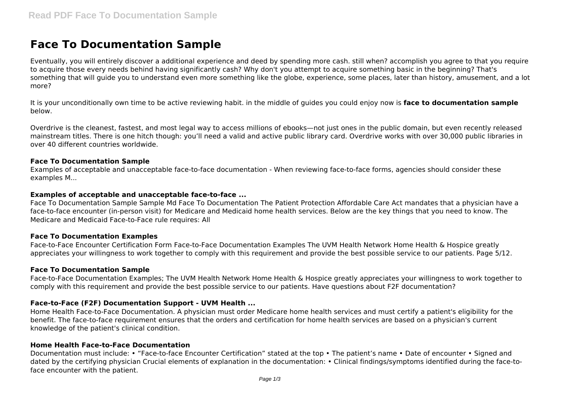# **Face To Documentation Sample**

Eventually, you will entirely discover a additional experience and deed by spending more cash. still when? accomplish you agree to that you require to acquire those every needs behind having significantly cash? Why don't you attempt to acquire something basic in the beginning? That's something that will guide you to understand even more something like the globe, experience, some places, later than history, amusement, and a lot more?

It is your unconditionally own time to be active reviewing habit. in the middle of guides you could enjoy now is **face to documentation sample** below.

Overdrive is the cleanest, fastest, and most legal way to access millions of ebooks—not just ones in the public domain, but even recently released mainstream titles. There is one hitch though: you'll need a valid and active public library card. Overdrive works with over 30,000 public libraries in over 40 different countries worldwide.

# **Face To Documentation Sample**

Examples of acceptable and unacceptable face-to-face documentation - When reviewing face-to-face forms, agencies should consider these examples M...

# **Examples of acceptable and unacceptable face-to-face ...**

Face To Documentation Sample Sample Md Face To Documentation The Patient Protection Affordable Care Act mandates that a physician have a face-to-face encounter (in-person visit) for Medicare and Medicaid home health services. Below are the key things that you need to know. The Medicare and Medicaid Face-to-Face rule requires: All

# **Face To Documentation Examples**

Face-to-Face Encounter Certification Form Face-to-Face Documentation Examples The UVM Health Network Home Health & Hospice greatly appreciates your willingness to work together to comply with this requirement and provide the best possible service to our patients. Page 5/12.

#### **Face To Documentation Sample**

Face-to-Face Documentation Examples; The UVM Health Network Home Health & Hospice greatly appreciates your willingness to work together to comply with this requirement and provide the best possible service to our patients. Have questions about F2F documentation?

# **Face-to-Face (F2F) Documentation Support - UVM Health ...**

Home Health Face-to-Face Documentation. A physician must order Medicare home health services and must certify a patient's eligibility for the benefit. The face-to-face requirement ensures that the orders and certification for home health services are based on a physician's current knowledge of the patient's clinical condition.

# **Home Health Face-to-Face Documentation**

Documentation must include: • "Face-to-face Encounter Certification" stated at the top • The patient's name • Date of encounter • Signed and dated by the certifying physician Crucial elements of explanation in the documentation: • Clinical findings/symptoms identified during the face-toface encounter with the patient.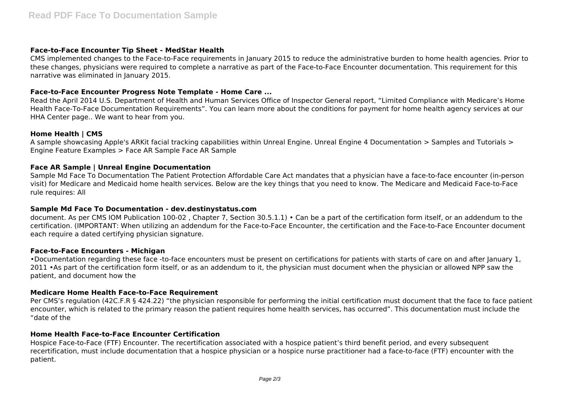# **Face-to-Face Encounter Tip Sheet - MedStar Health**

CMS implemented changes to the Face-to-Face requirements in January 2015 to reduce the administrative burden to home health agencies. Prior to these changes, physicians were required to complete a narrative as part of the Face-to-Face Encounter documentation. This requirement for this narrative was eliminated in January 2015.

# **Face-to-Face Encounter Progress Note Template - Home Care ...**

Read the April 2014 U.S. Department of Health and Human Services Office of Inspector General report, "Limited Compliance with Medicare's Home Health Face-To-Face Documentation Requirements". You can learn more about the conditions for payment for home health agency services at our HHA Center page.. We want to hear from you.

# **Home Health | CMS**

A sample showcasing Apple's ARKit facial tracking capabilities within Unreal Engine. Unreal Engine 4 Documentation > Samples and Tutorials > Engine Feature Examples > Face AR Sample Face AR Sample

# **Face AR Sample | Unreal Engine Documentation**

Sample Md Face To Documentation The Patient Protection Affordable Care Act mandates that a physician have a face-to-face encounter (in-person visit) for Medicare and Medicaid home health services. Below are the key things that you need to know. The Medicare and Medicaid Face-to-Face rule requires: All

# **Sample Md Face To Documentation - dev.destinystatus.com**

document. As per CMS IOM Publication 100-02 , Chapter 7, Section 30.5.1.1) • Can be a part of the certification form itself, or an addendum to the certification. (IMPORTANT: When utilizing an addendum for the Face-to-Face Encounter, the certification and the Face-to-Face Encounter document each require a dated certifying physician signature.

# **Face-to-Face Encounters - Michigan**

•Documentation regarding these face -to-face encounters must be present on certifications for patients with starts of care on and after January 1, 2011 • As part of the certification form itself, or as an addendum to it, the physician must document when the physician or allowed NPP saw the patient, and document how the

# **Medicare Home Health Face-to-Face Requirement**

Per CMS's regulation (42C.F.R § 424.22) "the physician responsible for performing the initial certification must document that the face to face patient encounter, which is related to the primary reason the patient requires home health services, has occurred". This documentation must include the "date of the

# **Home Health Face-to-Face Encounter Certification**

Hospice Face-to-Face (FTF) Encounter. The recertification associated with a hospice patient's third benefit period, and every subsequent recertification, must include documentation that a hospice physician or a hospice nurse practitioner had a face-to-face (FTF) encounter with the patient.